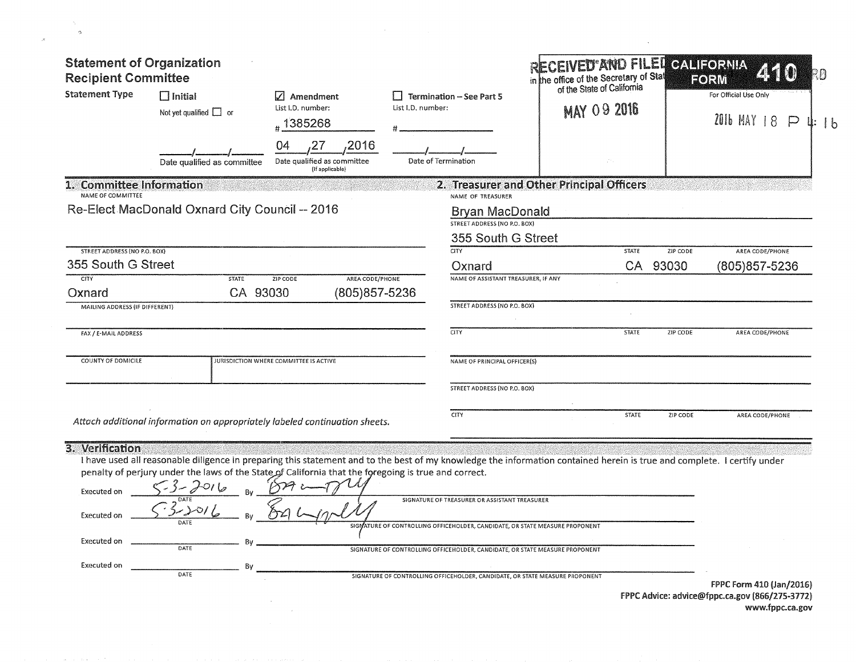| <b>Statement of Organization</b><br><b>Recipient Committee</b>                     |                                                                                                                                                                                                                                                                                                                                     |                                                              |                     |                                                                              | <b>CEIVED'AND FILED</b><br>in the office of the Secretary of Stat                                                                                                                                                                            |              |                 | <b>CALIFORNIA</b><br>FORM            |                        |        |
|------------------------------------------------------------------------------------|-------------------------------------------------------------------------------------------------------------------------------------------------------------------------------------------------------------------------------------------------------------------------------------------------------------------------------------|--------------------------------------------------------------|---------------------|------------------------------------------------------------------------------|----------------------------------------------------------------------------------------------------------------------------------------------------------------------------------------------------------------------------------------------|--------------|-----------------|--------------------------------------|------------------------|--------|
| <b>Statement Type</b>                                                              | $\Box$ Initial<br>Not yet qualified $\Box$ or                                                                                                                                                                                                                                                                                       | $\sqrt{}$ Amendment<br>List I.D. number:<br>#1385268         | List I.D. number:   | $\Box$ Termination - See Part 5                                              | of the State of California<br><b>MAY 09 2016</b>                                                                                                                                                                                             |              |                 | For Official Use Only<br>2016 MAY 18 | $\Box$                 | 4։   Խ |
|                                                                                    | Date qualified as committee                                                                                                                                                                                                                                                                                                         | 2016<br>04<br>Date qualified as committee<br>(If applicable) | Date of Termination |                                                                              |                                                                                                                                                                                                                                              |              |                 |                                      |                        |        |
| <b>Committee Information</b><br>1.<br>NAME OF COMMITTEE                            |                                                                                                                                                                                                                                                                                                                                     |                                                              |                     | NAME OF TREASURER                                                            | 2. Treasurer and Other Principal Officers                                                                                                                                                                                                    |              |                 |                                      |                        |        |
|                                                                                    | Re-Elect MacDonald Oxnard City Council -- 2016                                                                                                                                                                                                                                                                                      |                                                              |                     | <b>Bryan MacDonald</b><br>STREET ADDRESS (NO P.O. BOX)<br>355 South G Street |                                                                                                                                                                                                                                              |              |                 |                                      |                        |        |
| STREET ADDRESS (NO P.O. BOX)                                                       |                                                                                                                                                                                                                                                                                                                                     |                                                              |                     | $\overline{C}$                                                               |                                                                                                                                                                                                                                              | <b>STATE</b> | ZIP CODE        |                                      | <b>AREA CODE/PHONE</b> |        |
| 355 South G Street                                                                 |                                                                                                                                                                                                                                                                                                                                     |                                                              |                     | Oxnard                                                                       |                                                                                                                                                                                                                                              | CA           | 93030           | (805) 857-5236                       |                        |        |
| <b>CITY</b>                                                                        | <b>STATE</b>                                                                                                                                                                                                                                                                                                                        | AREA CODE/PHONE<br>ZIP CODE                                  |                     | NAME OF ASSISTANT TREASURER, IF ANY                                          |                                                                                                                                                                                                                                              |              |                 |                                      |                        |        |
| Oxnard<br>MAILING ADDRESS (IF DIFFERENT)                                           | CA 93030                                                                                                                                                                                                                                                                                                                            | (805) 857-5236                                               |                     | <b>STREET ADDRESS (NO P.O. BOX)</b>                                          |                                                                                                                                                                                                                                              |              |                 |                                      |                        |        |
|                                                                                    |                                                                                                                                                                                                                                                                                                                                     |                                                              |                     |                                                                              |                                                                                                                                                                                                                                              |              |                 |                                      |                        |        |
| FAX / E-MAIL ADDRESS                                                               |                                                                                                                                                                                                                                                                                                                                     |                                                              |                     | <b>CITY</b>                                                                  |                                                                                                                                                                                                                                              | <b>STATE</b> | <b>ZIP CODE</b> |                                      | AREA CODE/PHONE        |        |
| <b>COUNTY OF DOMICILE</b>                                                          |                                                                                                                                                                                                                                                                                                                                     | JURISDICTION WHERE COMMITTEE IS ACTIVE                       |                     | NAME OF PRINCIPAL OFFICER(S)                                                 |                                                                                                                                                                                                                                              |              |                 |                                      |                        |        |
|                                                                                    |                                                                                                                                                                                                                                                                                                                                     |                                                              |                     | STREET ADDRESS (NO P.O. BOX)                                                 |                                                                                                                                                                                                                                              |              |                 |                                      |                        |        |
|                                                                                    | Attach additional information on appropriately labeled continuation sheets.                                                                                                                                                                                                                                                         |                                                              |                     | CITY                                                                         |                                                                                                                                                                                                                                              | <b>STATE</b> | ZIP CODE        |                                      | AREA CODE/PHONE        |        |
| 3. Verification<br>Executed on<br>Executed on<br><b>Executed on</b><br>Executed on | I have used all reasonable diligence in preparing this statement and to the best of my knowledge the information contained herein is true and complete. I certify under<br>penalty of perjury under the laws of the State of California that the foregoing is true and correct.<br>$\ddot{\sim}$ / $\sqrt{2}$<br>DATE<br>Bν<br>DATE |                                                              |                     | SIGNATURE OF TREASURER OR ASSISTANT TREASURER                                | SIGNATURE OF CONTROLLING OFFICEHOLDER, CANDIDATE, OR STATE MEASURE PROPONENT<br>SIGNATURE OF CONTROLLING OFFICEHOLDER, CANDIDATE, OR STATE MEASURE PROPONENT<br>SIGNATURE OF CONTROLLING OFFICEHOLDER, CANDIDATE, OR STATE MEASURE PROPONENT |              |                 |                                      |                        |        |
|                                                                                    |                                                                                                                                                                                                                                                                                                                                     |                                                              |                     |                                                                              |                                                                                                                                                                                                                                              |              |                 | FPPC Form 410 (Jan/2016)             |                        |        |

 $\label{eq:2.1} \mathcal{L}^{\text{max}}_{\text{max}}(\mathbf{r},\mathbf{r}) = \mathcal{L}^{\text{max}}_{\text{max}}(\mathbf{r},\mathbf{r})$ 

 $\mathcal{O}^{\pm}$ 

**The Art** 

 $\bar{\omega}_i$ 

FPPC Advice: advice@fppc.ca.gov (866/275-3772)<br>www.fppc.ca.gov

 $\alpha$  .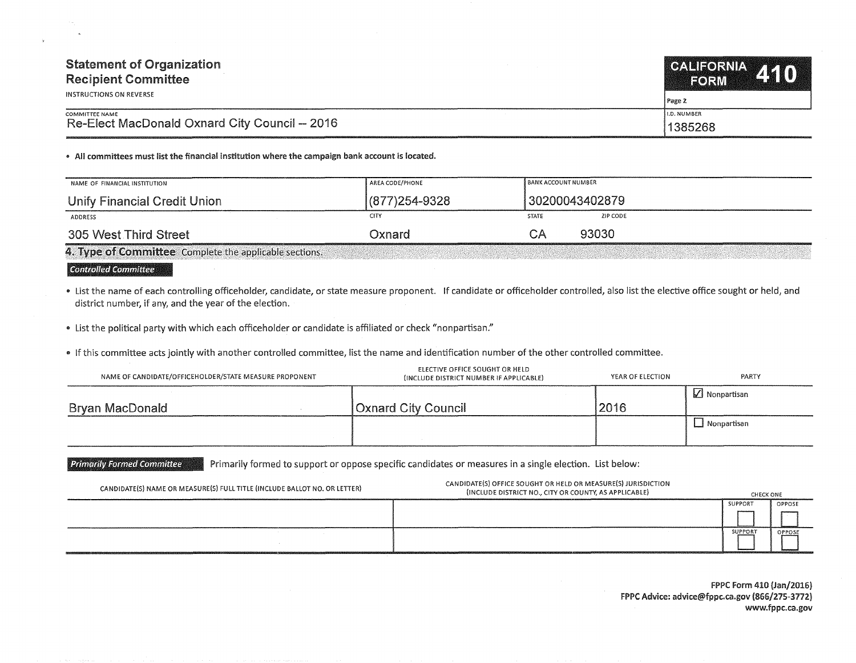| <b>Statement of Organization</b><br><b>Recipient Committee</b> | CALIFORNIA 410<br><b>EORM</b> |  |  |
|----------------------------------------------------------------|-------------------------------|--|--|
| INSTRUCTIONS ON REVERSE                                        | Page 2                        |  |  |
| COMMITTEE NAME                                                 | <b>ILD. NUMBER</b>            |  |  |
| Re-Elect MacDonald Oxnard City Council - 2016                  | 1385268                       |  |  |

• All committees must list the financial institution where the campaign bank account is located.

| NAME OF FINANCIAL INSTITUTION                          | AREA CODE/PHONE | <b>BANK ACCOUNT NUMBER</b> |                |
|--------------------------------------------------------|-----------------|----------------------------|----------------|
| Unify Financial Credit Union                           | (877) 254-9328  |                            | 30200043402879 |
| ADDRESS                                                | <b>CITY</b>     | <b>STATE</b>               | ZIP CODE       |
| 305 West Third Street                                  | Oxnard          | SА                         | 93030          |
| 4. Type of Committee Complete the applicable sections. |                 |                            |                |

## **f** Controlled Committee

• List the name of each controlling officeholder, candidate, or state measure proponent. If candidate or officeholder controlled, also list the elective office sought or held, and district number, if any, and the year of the election.

• List the political party with which each officeholder or candidate is affiliated or check "nonpartisan."

• If this committee acts jointly with another controlled committee, list the name and identification number of the other controlled committee.

| NAME OF CANDIDATE/OFFICEHOLDER/STATE MEASURE PROPONENT | ELECTIVE OFFICE SOUGHT OR HELD<br>(INCLUDE DISTRICT NUMBER IF APPLICABLE) | YEAR OF ELECTION | PARTY              |
|--------------------------------------------------------|---------------------------------------------------------------------------|------------------|--------------------|
| Bryan MacDonald                                        | <b>Oxnard City Council</b>                                                | 2016             | $\Box$ Nonpartisan |
|                                                        |                                                                           |                  | $\Box$ Nonpartisan |

Primarily Formed Committee **Primarily formed to support or oppose specific candidates or measures in a single election. List below:** 

| CANDIDATE(S) NAME OR MEASURE(S) FULL TITLE (INCLUDE BALLOT NO. OR LETTER) | CANDIDATE(S) OFFICE SOUGHT OR HELD OR MEASURE(S) JURISDICTION<br>(INCLUDE DISTRICT NO., CITY OR COUNTY, AS APPLICABLE) | CHECK ONE |        |
|---------------------------------------------------------------------------|------------------------------------------------------------------------------------------------------------------------|-----------|--------|
|                                                                           |                                                                                                                        | SUPPORT   | OPPOSE |
|                                                                           |                                                                                                                        |           |        |
|                                                                           |                                                                                                                        | SUPPORT   | OPPOSE |
|                                                                           |                                                                                                                        |           |        |

FPPC Form 410 {Jan/2016) FPPC Advice: advice@fppc.ca.gov (866/275-3772) www.fppc.ca.gov